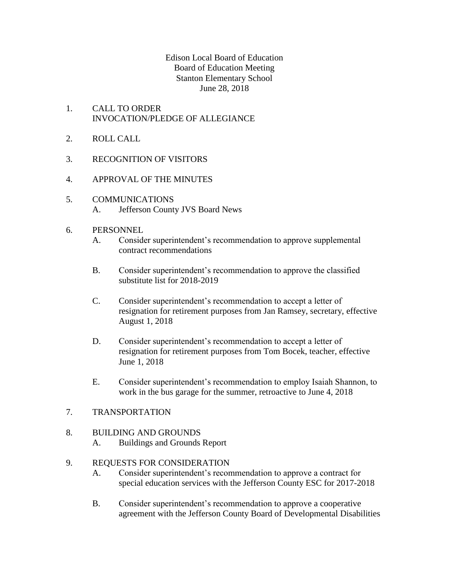#### Edison Local Board of Education Board of Education Meeting Stanton Elementary School June 28, 2018

- 1. CALL TO ORDER INVOCATION/PLEDGE OF ALLEGIANCE
- 2. ROLL CALL
- 3. RECOGNITION OF VISITORS
- 4. APPROVAL OF THE MINUTES
- 5. COMMUNICATIONS A. Jefferson County JVS Board News
- 6. PERSONNEL
	- A. Consider superintendent's recommendation to approve supplemental contract recommendations
	- B. Consider superintendent's recommendation to approve the classified substitute list for 2018-2019
	- C. Consider superintendent's recommendation to accept a letter of resignation for retirement purposes from Jan Ramsey, secretary, effective August 1, 2018
	- D. Consider superintendent's recommendation to accept a letter of resignation for retirement purposes from Tom Bocek, teacher, effective June 1, 2018
	- E. Consider superintendent's recommendation to employ Isaiah Shannon, to work in the bus garage for the summer, retroactive to June 4, 2018
- 7. TRANSPORTATION
- 8. BUILDING AND GROUNDS
	- A. Buildings and Grounds Report

#### 9. REQUESTS FOR CONSIDERATION

- A. Consider superintendent's recommendation to approve a contract for special education services with the Jefferson County ESC for 2017-2018
- B. Consider superintendent's recommendation to approve a cooperative agreement with the Jefferson County Board of Developmental Disabilities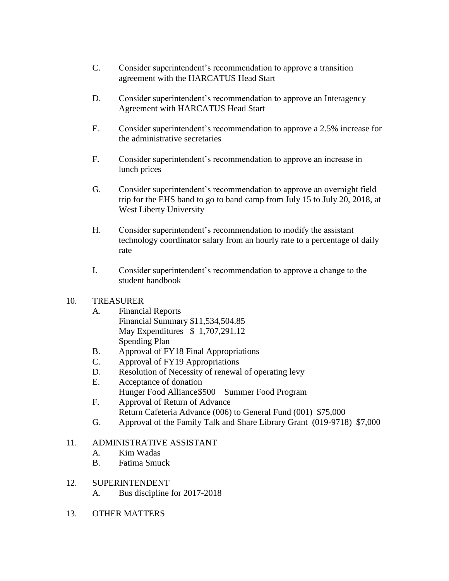- C. Consider superintendent's recommendation to approve a transition agreement with the HARCATUS Head Start
- D. Consider superintendent's recommendation to approve an Interagency Agreement with HARCATUS Head Start
- E. Consider superintendent's recommendation to approve a 2.5% increase for the administrative secretaries
- F. Consider superintendent's recommendation to approve an increase in lunch prices
- G. Consider superintendent's recommendation to approve an overnight field trip for the EHS band to go to band camp from July 15 to July 20, 2018, at West Liberty University
- H. Consider superintendent's recommendation to modify the assistant technology coordinator salary from an hourly rate to a percentage of daily rate
- I. Consider superintendent's recommendation to approve a change to the student handbook

### 10. TREASURER

- A. Financial Reports
	- Financial Summary \$11,534,504.85 May Expenditures \$ 1,707,291.12 Spending Plan
- B. Approval of FY18 Final Appropriations
- C. Approval of FY19 Appropriations
- D. Resolution of Necessity of renewal of operating levy
- E. Acceptance of donation
	- Hunger Food Alliance\$500 Summer Food Program
- F. Approval of Return of Advance Return Cafeteria Advance (006) to General Fund (001) \$75,000
- G. Approval of the Family Talk and Share Library Grant (019-9718) \$7,000

### 11. ADMINISTRATIVE ASSISTANT

- A. Kim Wadas
- B. Fatima Smuck

# 12. SUPERINTENDENT

- A. Bus discipline for 2017-2018
- 13. OTHER MATTERS